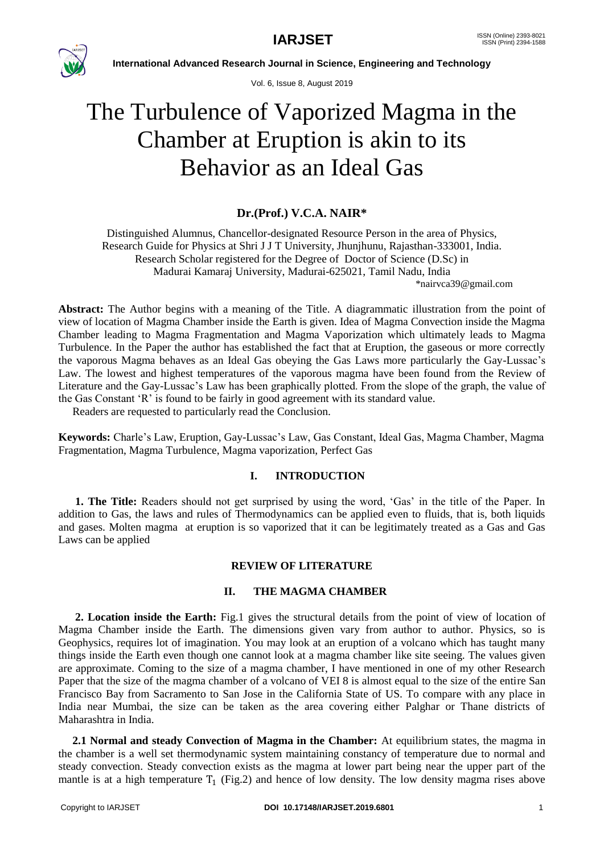

Vol. 6, Issue 8, August 2019

# The Turbulence of Vaporized Magma in the Chamber at Eruption is akin to its Behavior as an Ideal Gas

## **Dr.(Prof.) V.C.A. NAIR\***

Distinguished Alumnus, Chancellor-designated Resource Person in the area of Physics, Research Guide for Physics at Shri J J T University, Jhunjhunu, Rajasthan-333001, India. Research Scholar registered for the Degree of Doctor of Science (D.Sc) in Madurai Kamaraj University, Madurai-625021, Tamil Nadu, India

[\\*nairvca39@gmail.com](mailto:*nairvca39@gmail.com)

**Abstract:** The Author begins with a meaning of the Title. A diagrammatic illustration from the point of view of location of Magma Chamber inside the Earth is given. Idea of Magma Convection inside the Magma Chamber leading to Magma Fragmentation and Magma Vaporization which ultimately leads to Magma Turbulence. In the Paper the author has established the fact that at Eruption, the gaseous or more correctly the vaporous Magma behaves as an Ideal Gas obeying the Gas Laws more particularly the Gay-Lussac"s Law. The lowest and highest temperatures of the vaporous magma have been found from the Review of Literature and the Gay-Lussac's Law has been graphically plotted. From the slope of the graph, the value of the Gas Constant "R" is found to be fairly in good agreement with its standard value.

Readers are requested to particularly read the Conclusion.

**Keywords:** Charle"s Law, Eruption, Gay-Lussac"s Law, Gas Constant, Ideal Gas, Magma Chamber, Magma Fragmentation, Magma Turbulence, Magma vaporization, Perfect Gas

### **I. INTRODUCTION**

 **1. The Title:** Readers should not get surprised by using the word, "Gas" in the title of the Paper. In addition to Gas, the laws and rules of Thermodynamics can be applied even to fluids, that is, both liquids and gases. Molten magma at eruption is so vaporized that it can be legitimately treated as a Gas and Gas Laws can be applied

#### **REVIEW OF LITERATURE**

### **II. THE MAGMA CHAMBER**

 **2. Location inside the Earth:** Fig.1 gives the structural details from the point of view of location of Magma Chamber inside the Earth. The dimensions given vary from author to author. Physics, so is Geophysics, requires lot of imagination. You may look at an eruption of a volcano which has taught many things inside the Earth even though one cannot look at a magma chamber like site seeing. The values given are approximate. Coming to the size of a magma chamber, I have mentioned in one of my other Research Paper that the size of the magma chamber of a volcano of VEI 8 is almost equal to the size of the entire San Francisco Bay from Sacramento to San Jose in the California State of US. To compare with any place in India near Mumbai, the size can be taken as the area covering either Palghar or Thane districts of Maharashtra in India.

 **2.1 Normal and steady Convection of Magma in the Chamber:** At equilibrium states, the magma in the chamber is a well set thermodynamic system maintaining constancy of temperature due to normal and steady convection. Steady convection exists as the magma at lower part being near the upper part of the mantle is at a high temperature  $T_1$  (Fig.2) and hence of low density. The low density magma rises above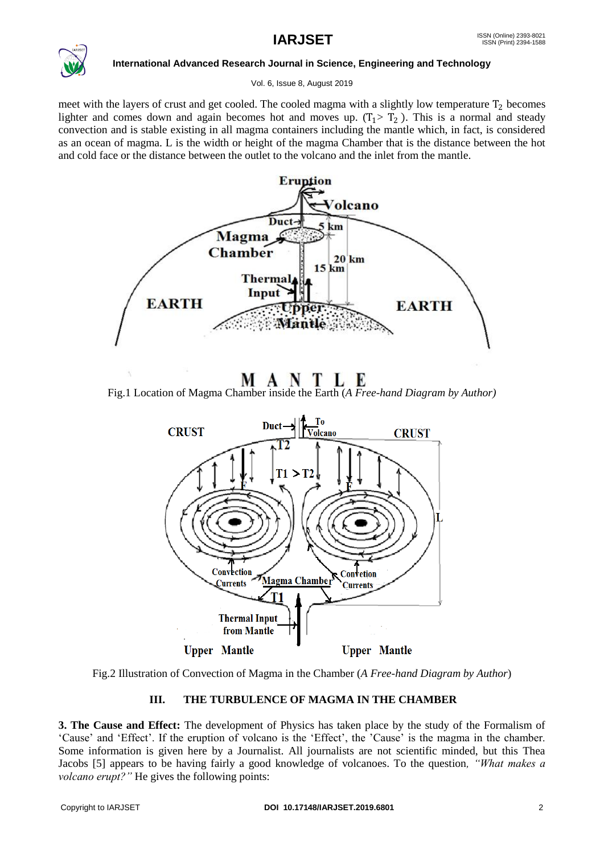

Vol. 6, Issue 8, August 2019

meet with the layers of crust and get cooled. The cooled magma with a slightly low temperature  $T_2$  becomes lighter and comes down and again becomes hot and moves up.  $(T_1 > T_2)$ . This is a normal and steady convection and is stable existing in all magma containers including the mantle which, in fact, is considered as an ocean of magma. L is the width or height of the magma Chamber that is the distance between the hot and cold face or the distance between the outlet to the volcano and the inlet from the mantle.



MANTLE

Fig.1 Location of Magma Chamber inside the Earth (*A Free-hand Diagram by Author)*



Fig.2 Illustration of Convection of Magma in the Chamber (*A Free-hand Diagram by Author*)

### **III. THE TURBULENCE OF MAGMA IN THE CHAMBER**

**3. The Cause and Effect:** The development of Physics has taken place by the study of the Formalism of "Cause" and "Effect". If the eruption of volcano is the "Effect", the "Cause" is the magma in the chamber. Some information is given here by a Journalist. All journalists are not scientific minded, but this Thea Jacobs [5] appears to be having fairly a good knowledge of volcanoes. To the question*, "What makes a volcano erupt?"* He gives the following points: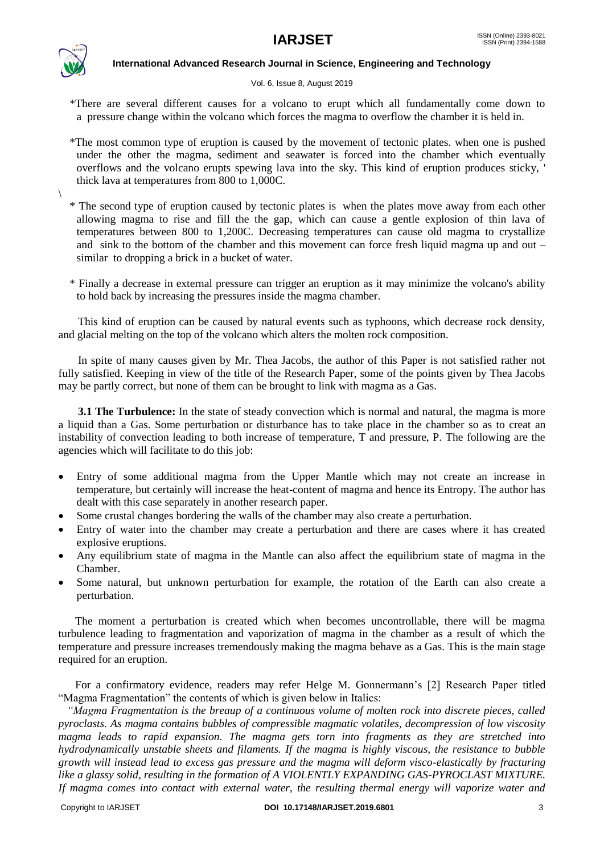

 $\setminus$ 

**International Advanced Research Journal in Science, Engineering and Technology**

#### Vol. 6, Issue 8, August 2019

 \*There are several different causes for a volcano to erupt which all fundamentally come down to a pressure change within the volcano which forces the magma to overflow the chamber it is held in.

- \*The most common type of eruption is caused by the movement of tectonic plates. when one is pushed under the other the magma, sediment and seawater is forced into the chamber which eventually overflows and the volcano erupts spewing lava into the sky. This kind of eruption produces sticky, ' thick lava at temperatures from 800 to 1,000C.
- \* The second type of eruption caused by tectonic plates is when the plates move away from each other allowing magma to rise and fill the the gap, which can cause a gentle explosion of thin lava of temperatures between 800 to 1,200C. Decreasing temperatures can cause old magma to crystallize and sink to the bottom of the chamber and this movement can force fresh liquid magma up and out  $$ similar to dropping a brick in a bucket of water.
- \* Finally a decrease in external pressure can trigger an eruption as it may minimize the volcano's ability to hold back by increasing the pressures inside the magma chamber.

 This kind of eruption can be caused by natural events such as typhoons, which decrease rock density, and glacial melting on the top of the volcano which alters the molten rock composition.

 In spite of many causes given by Mr. Thea Jacobs, the author of this Paper is not satisfied rather not fully satisfied. Keeping in view of the title of the Research Paper, some of the points given by Thea Jacobs may be partly correct, but none of them can be brought to link with magma as a Gas.

 **3.1 The Turbulence:** In the state of steady convection which is normal and natural, the magma is more a liquid than a Gas. Some perturbation or disturbance has to take place in the chamber so as to creat an instability of convection leading to both increase of temperature, T and pressure, P. The following are the agencies which will facilitate to do this job:

- Entry of some additional magma from the Upper Mantle which may not create an increase in temperature, but certainly will increase the heat-content of magma and hence its Entropy. The author has dealt with this case separately in another research paper.
- Some crustal changes bordering the walls of the chamber may also create a perturbation.
- Entry of water into the chamber may create a perturbation and there are cases where it has created explosive eruptions.
- Any equilibrium state of magma in the Mantle can also affect the equilibrium state of magma in the Chamber.
- Some natural, but unknown perturbation for example, the rotation of the Earth can also create a perturbation.

 The moment a perturbation is created which when becomes uncontrollable, there will be magma turbulence leading to fragmentation and vaporization of magma in the chamber as a result of which the temperature and pressure increases tremendously making the magma behave as a Gas. This is the main stage required for an eruption.

 For a confirmatory evidence, readers may refer Helge M. Gonnermann"s [2] Research Paper titled "Magma Fragmentation" the contents of which is given below in Italics:

 *"Magma Fragmentation is the breaup of a continuous volume of molten rock into discrete pieces, called pyroclasts. As magma contains bubbles of compressible magmatic volatiles, decompression of low viscosity magma leads to rapid expansion. The magma gets torn into fragments as they are stretched into hydrodynamically unstable sheets and filaments. If the magma is highly viscous, the resistance to bubble growth will instead lead to excess gas pressure and the magma will deform visco-elastically by fracturing like a glassy solid, resulting in the formation of A VIOLENTLY EXPANDING GAS-PYROCLAST MIXTURE. If magma comes into contact with external water, the resulting thermal energy will vaporize water and*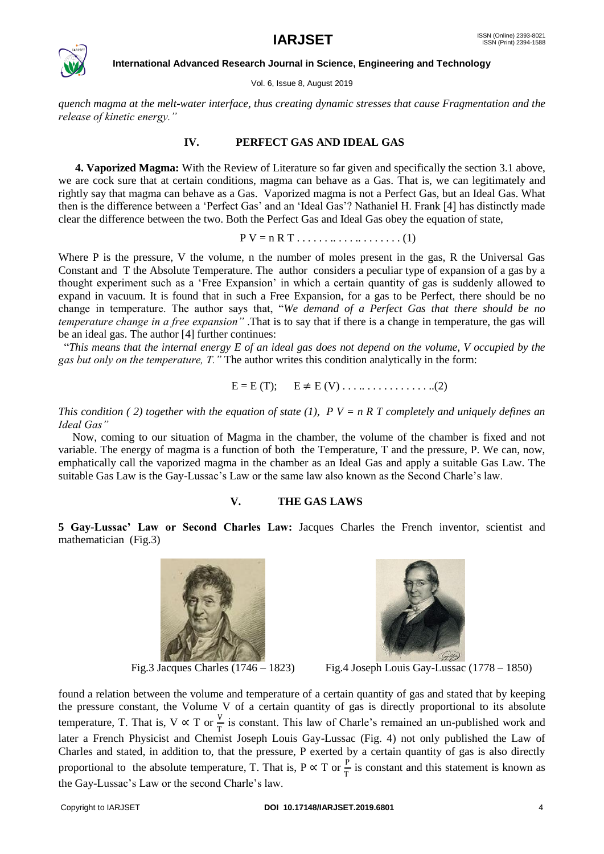

Vol. 6, Issue 8, August 2019

*quench magma at the melt-water interface, thus creating dynamic stresses that cause Fragmentation and the release of kinetic energy."*

#### **IV. PERFECT GAS AND IDEAL GAS**

 **4. Vaporized Magma:** With the Review of Literature so far given and specifically the section 3.1 above, we are cock sure that at certain conditions, magma can behave as a Gas. That is, we can legitimately and rightly say that magma can behave as a Gas. Vaporized magma is not a Perfect Gas, but an Ideal Gas. What then is the difference between a "Perfect Gas" and an "Ideal Gas"? Nathaniel H. Frank [4] has distinctly made clear the difference between the two. Both the Perfect Gas and Ideal Gas obey the equation of state,

 $P V = n R T ... ... ... ... ... (1)$ 

Where P is the pressure, V the volume, n the number of moles present in the gas, R the Universal Gas Constant and T the Absolute Temperature. The author considers a peculiar type of expansion of a gas by a thought experiment such as a "Free Expansion" in which a certain quantity of gas is suddenly allowed to expand in vacuum. It is found that in such a Free Expansion, for a gas to be Perfect, there should be no change in temperature. The author says that, "*We demand of a Perfect Gas that there should be no temperature change in a free expansion"* .That is to say that if there is a change in temperature, the gas will be an ideal gas. The author [4] further continues:

 "*This means that the internal energy E of an ideal gas does not depend on the volume, V occupied by the gas but only on the temperature, T."* The author writes this condition analytically in the form:

$$
E = E(T); \qquad E \neq E(V) \dots \dots \dots \dots \dots \dots (2)
$$

*This condition (2) together with the equation of state (1),*  $P V = n R T$  *completely and uniquely defines an Ideal Gas"*

Now, coming to our situation of Magma in the chamber, the volume of the chamber is fixed and not variable. The energy of magma is a function of both the Temperature, T and the pressure, P. We can, now, emphatically call the vaporized magma in the chamber as an Ideal Gas and apply a suitable Gas Law. The suitable Gas Law is the Gay-Lussac's Law or the same law also known as the Second Charle's law.

#### **V. THE GAS LAWS**

**5 Gay-Lussac' Law or Second Charles Law:** Jacques Charles the French inventor, scientist and mathematician (Fig.3)



Fig.3 Jacques Charles  $(1746 - 1823)$ 



Fig.4 Joseph Louis Gay-Lussac  $(1778 - 1850)$ 

found a relation between the volume and temperature of a certain quantity of gas and stated that by keeping the pressure constant, the Volume V of a certain quantity of gas is directly proportional to its absolute temperature, T. That is,  $V \propto T$  or  $\frac{V}{T}$  is constant. This law of Charle's remained an un-published work and later a French Physicist and Chemist Joseph Louis Gay-Lussac (Fig. 4) not only published the Law of Charles and stated, in addition to, that the pressure, P exerted by a certain quantity of gas is also directly proportional to the absolute temperature, T. That is, P  $\propto$  T or  $\frac{P}{T}$  is constant and this statement is known as the Gay-Lussac's Law or the second Charle's law.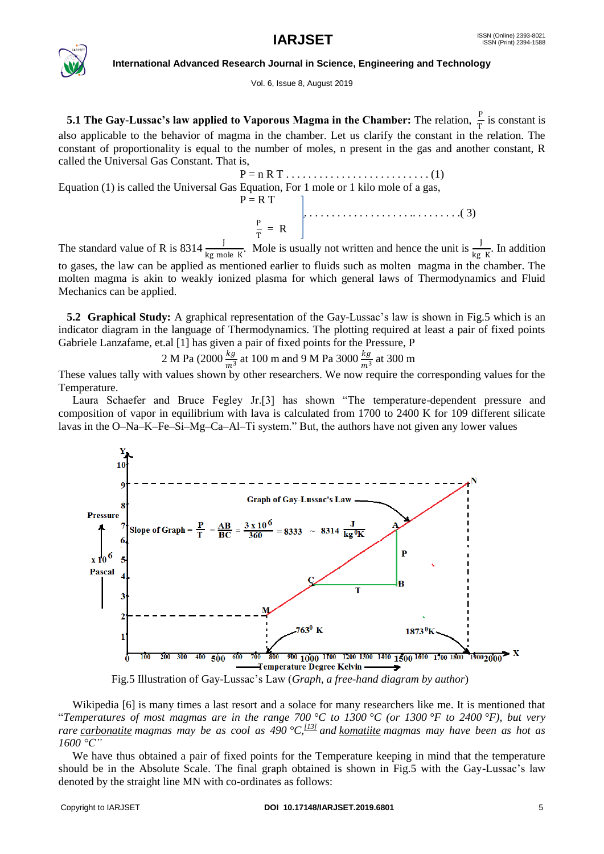

#### Vol. 6, Issue 8, August 2019

**5.1 The Gay-Lussac's law applied to Vaporous Magma in the Chamber:** The relation,  $\frac{P}{T}$  is constant is also applicable to the behavior of magma in the chamber. Let us clarify the constant in the relation. The constant of proportionality is equal to the number of moles, n present in the gas and another constant, R called the Universal Gas Constant. That is,

Equation (1) is called the Universal Gas Equation, For 1 mole or 1 kilo mole of a gas,  
\n
$$
P = R T
$$
\n
$$
P = RT
$$
\n(3)

 $\frac{P}{T}$  $\frac{r}{T} = R$ The standard value of R is 8314  $\frac{J}{kg \text{ mole } K}$ . Mole is usually not written and hence the unit is  $\frac{J}{kg \text{ K}}$ . In addition to gases, the law can be applied as mentioned earlier to fluids such as molten magma in the chamber. The molten magma is akin to weakly ionized plasma for which general laws of Thermodynamics and Fluid Mechanics can be applied.

**5.2 Graphical Study:** A graphical representation of the Gay-Lussac's law is shown in Fig.5 which is an indicator diagram in the language of Thermodynamics. The plotting required at least a pair of fixed points Gabriele Lanzafame, et.al [1] has given a pair of fixed points for the Pressure, P

2 M Pa (2000 $\frac{kg}{m^3}$  at 100 m and 9 M Pa 3000 $\frac{kg}{m^3}$  at 300 m

These values tally with values shown by other researchers. We now require the corresponding values for the Temperature.

 Laura Schaefer and Bruce Fegley Jr.[3] has shown "The temperature-dependent pressure and composition of vapor in equilibrium with lava is calculated from 1700 to 2400 K for 109 different silicate lavas in the O–Na–K–Fe–Si–Mg–Ca–Al–Ti system." But, the authors have not given any lower values



Fig.5 Illustration of Gay-Lussac"s Law (*Graph, a free-hand diagram by author*)

 Wikipedia [6] is many times a last resort and a solace for many researchers like me. It is mentioned that "*Temperatures of most magmas are in the range 700 °C to 1300 °C (or 1300 °F to 2400 °F), but very rare [carbonatite](https://en.wikipedia.org/wiki/Carbonatite) magmas may be as cool as 490 °C,[\[13\]](https://en.wikipedia.org/wiki/Magma#cite_note-Weidendorfer2017-13) and [komatiite](https://en.wikipedia.org/wiki/Komatiite) magmas may have been as hot as 1600 °C"*

We have thus obtained a pair of fixed points for the Temperature keeping in mind that the temperature should be in the Absolute Scale. The final graph obtained is shown in Fig.5 with the Gay-Lussac's law denoted by the straight line MN with co-ordinates as follows: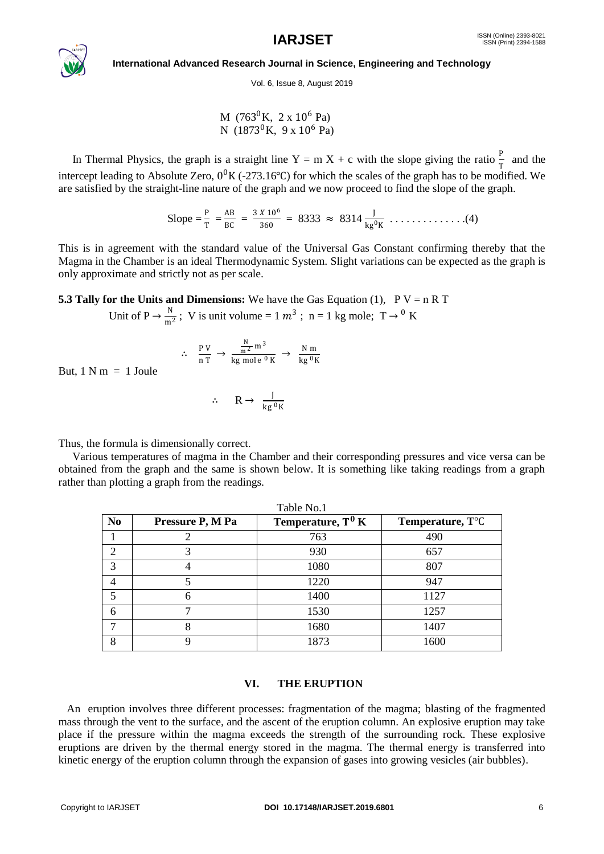

Vol. 6, Issue 8, August 2019

 $M$  (763<sup>0</sup>K, 2 x 10<sup>6</sup> Pa) N  $(1873^0K, 9 \times 10^6 \text{ Pa})$ 

In Thermal Physics, the graph is a straight line  $Y = m X + c$  with the slope giving the ratio  $\frac{P}{T}$  and the intercept leading to Absolute Zero,  $0^0$ K (-273.16°C) for which the scales of the graph has to be modified. We are satisfied by the straight-line nature of the graph and we now proceed to find the slope of the graph.

Slope = 
$$
\frac{P}{T} = \frac{AB}{BC} = \frac{3 \times 10^6}{360} = 8333 \approx 8314 \frac{J}{kg^0 K} \dots \dots \dots \dots (4)
$$

This is in agreement with the standard value of the Universal Gas Constant confirming thereby that the Magma in the Chamber is an ideal Thermodynamic System. Slight variations can be expected as the graph is only approximate and strictly not as per scale.

**5.3 Tally for the Units and Dimensions:** We have the Gas Equation (1),  $P V = n R T$ 

Unit of  $P \to \frac{N}{\pi R}$  $\frac{N}{m^2}$ ; V is unit volume = 1  $m^3$ ; n = 1 kg mole; T  $\rightarrow$  <sup>0</sup> K

$$
\therefore \frac{PV}{n T} \to \frac{\frac{N}{m^2} m^3}{\text{kg mole }^0 K} \to \frac{N m}{\text{kg }^0 K}
$$

But,  $1 \text{ N m} = 1 \text{ Joule}$ 

$$
\therefore \qquad R \to \frac{J}{\log^0 K}
$$

Thus, the formula is dimensionally correct.

 Various temperatures of magma in the Chamber and their corresponding pressures and vice versa can be obtained from the graph and the same is shown below. It is something like taking readings from a graph rather than plotting a graph from the readings.

| Table No.1     |                  |                      |                               |
|----------------|------------------|----------------------|-------------------------------|
| N <sub>0</sub> | Pressure P, M Pa | Temperature, $T^0 K$ | Temperature, T <sup>o</sup> C |
|                |                  | 763                  | 490                           |
| $\mathcal{D}$  |                  | 930                  | 657                           |
| 3              |                  | 1080                 | 807                           |
|                |                  | 1220                 | 947                           |
|                | 6                | 1400                 | 1127                          |
| 6              |                  | 1530                 | 1257                          |
|                | 8                | 1680                 | 1407                          |
| 8              | q                | 1873                 | 1600                          |

#### **VI. THE ERUPTION**

An eruption involves three different processes: fragmentation of the magma; blasting of the fragmented mass through the vent to the surface, and the ascent of the eruption column. An explosive eruption may take place if the pressure within the magma exceeds the strength of the surrounding rock. These explosive eruptions are driven by the thermal energy stored in the magma. The thermal energy is transferred into kinetic energy of the eruption column through the expansion of gases into growing vesicles (air bubbles).